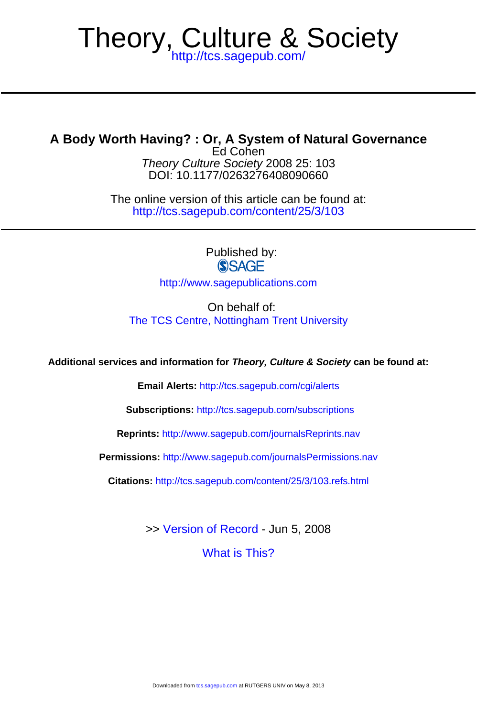## <http://tcs.sagepub.com/> Theory, Culture & Society

**A Body Worth Having? : Or, A System of Natural Governance**

DOI: 10.1177/0263276408090660 Theory Culture Society 2008 25: 103 Ed Cohen

<http://tcs.sagepub.com/content/25/3/103> The online version of this article can be found at:

Published by:<br>
SAGE

<http://www.sagepublications.com>

On behalf of: [The TCS Centre, Nottingham Trent University](http://ntu.ac.uk/research/school_research/hum/29480gp.html)

**Additional services and information for Theory, Culture & Society can be found at:**

**Email Alerts:** <http://tcs.sagepub.com/cgi/alerts>

**Subscriptions:** <http://tcs.sagepub.com/subscriptions>

**Reprints:** <http://www.sagepub.com/journalsReprints.nav>

**Permissions:** <http://www.sagepub.com/journalsPermissions.nav>

**Citations:** <http://tcs.sagepub.com/content/25/3/103.refs.html>

>> [Version of Record -](http://tcs.sagepub.com/content/25/3/103.full.pdf) Jun 5, 2008

[What is This?](http://online.sagepub.com/site/sphelp/vorhelp.xhtml)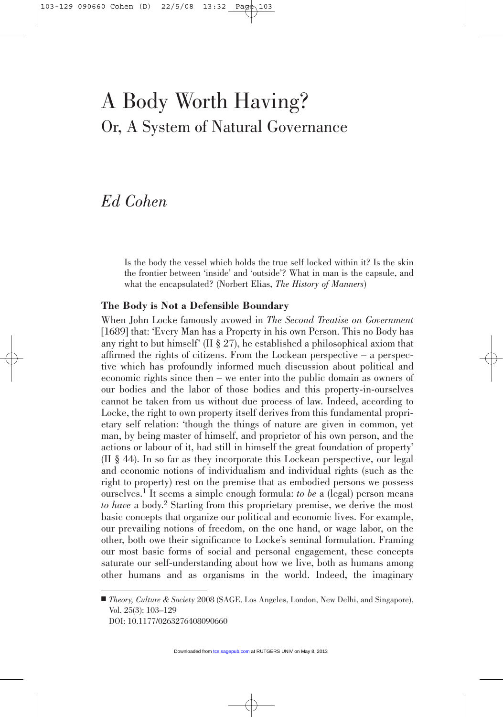# A Body Worth Having? Or, A System of Natural Governance

### *Ed Cohen*

Is the body the vessel which holds the true self locked within it? Is the skin the frontier between 'inside' and 'outside'? What in man is the capsule, and what the encapsulated? (Norbert Elias, *The History of Manners*)

#### **The Body is Not a Defensible Boundary**

When John Locke famously avowed in *The Second Treatise on Government* [1689] that: 'Every Man has a Property in his own Person. This no Body has any right to but himself' (II § 27), he established a philosophical axiom that affirmed the rights of citizens. From the Lockean perspective – a perspective which has profoundly informed much discussion about political and economic rights since then – we enter into the public domain as owners of our bodies and the labor of those bodies and this property-in-ourselves cannot be taken from us without due process of law. Indeed, according to Locke, the right to own property itself derives from this fundamental proprietary self relation: 'though the things of nature are given in common, yet man, by being master of himself, and proprietor of his own person, and the actions or labour of it, had still in himself the great foundation of property' (II § 44). In so far as they incorporate this Lockean perspective, our legal and economic notions of individualism and individual rights (such as the right to property) rest on the premise that as embodied persons we possess ourselves.1 It seems a simple enough formula: *to be* a (legal) person means *to have* a body.2 Starting from this proprietary premise, we derive the most basic concepts that organize our political and economic lives. For example, our prevailing notions of freedom, on the one hand, or wage labor, on the other, both owe their significance to Locke's seminal formulation. Framing our most basic forms of social and personal engagement, these concepts saturate our self-understanding about how we live, both as humans among other humans and as organisms in the world. Indeed, the imaginary

<sup>■</sup> *Theory, Culture & Society* 2008 (SAGE, Los Angeles, London, New Delhi, and Singapore), Vol. 25(3): 103–129 DOI: 10.1177/0263276408090660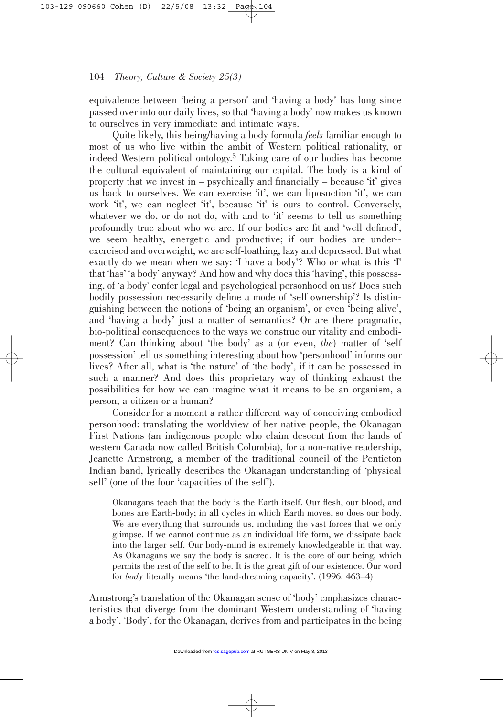equivalence between 'being a person' and 'having a body' has long since passed over into our daily lives, so that 'having a body' now makes us known to ourselves in very immediate and intimate ways.

Quite likely, this being/having a body formula *feels* familiar enough to most of us who live within the ambit of Western political rationality, or indeed Western political ontology.3 Taking care of our bodies has become the cultural equivalent of maintaining our capital. The body is a kind of property that we invest in – psychically and financially – because 'it' gives us back to ourselves. We can exercise 'it', we can liposuction 'it', we can work 'it', we can neglect 'it', because 'it' is ours to control. Conversely, whatever we do, or do not do, with and to 'it' seems to tell us something profoundly true about who we are. If our bodies are fit and 'well defined', we seem healthy, energetic and productive; if our bodies are under- exercised and overweight, we are self-loathing, lazy and depressed. But what exactly do we mean when we say: 'I have a body'? Who or what is this 'I' that 'has' 'a body' anyway? And how and why does this 'having', this possessing, of 'a body' confer legal and psychological personhood on us? Does such bodily possession necessarily define a mode of 'self ownership'? Is distinguishing between the notions of 'being an organism', or even 'being alive', and 'having a body' just a matter of semantics? Or are there pragmatic, bio-political consequences to the ways we construe our vitality and embodiment? Can thinking about 'the body' as a (or even, *the*) matter of 'self possession' tell us something interesting about how 'personhood' informs our lives? After all, what is 'the nature' of 'the body', if it can be possessed in such a manner? And does this proprietary way of thinking exhaust the possibilities for how we can imagine what it means to be an organism, a person, a citizen or a human?

Consider for a moment a rather different way of conceiving embodied personhood: translating the worldview of her native people, the Okanagan First Nations (an indigenous people who claim descent from the lands of western Canada now called British Columbia), for a non-native readership, Jeanette Armstrong, a member of the traditional council of the Penticton Indian band, lyrically describes the Okanagan understanding of 'physical self' (one of the four 'capacities of the self').

Okanagans teach that the body is the Earth itself. Our flesh, our blood, and bones are Earth-body; in all cycles in which Earth moves, so does our body. We are everything that surrounds us, including the vast forces that we only glimpse. If we cannot continue as an individual life form, we dissipate back into the larger self. Our body-mind is extremely knowledgeable in that way. As Okanagans we say the body is sacred. It is the core of our being, which permits the rest of the self to be. It is the great gift of our existence. Our word for *body* literally means 'the land-dreaming capacity'. (1996: 463–4)

Armstrong's translation of the Okanagan sense of 'body' emphasizes characteristics that diverge from the dominant Western understanding of 'having a body'. 'Body', for the Okanagan, derives from and participates in the being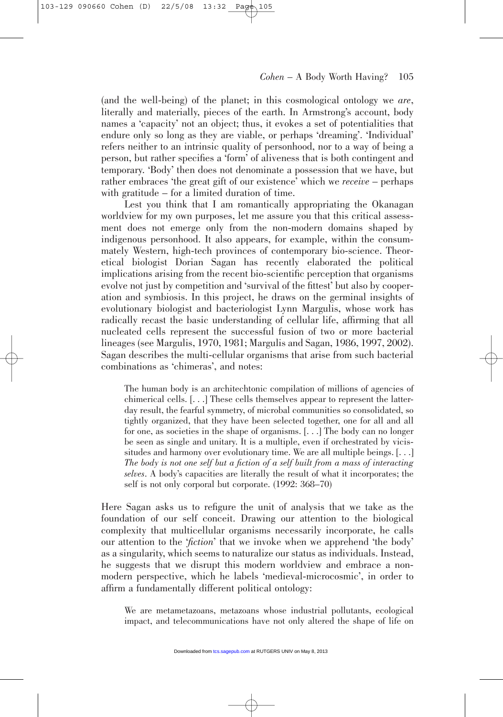(and the well-being) of the planet; in this cosmological ontology we *are*, literally and materially, pieces of the earth. In Armstrong's account, body names a 'capacity' not an object; thus, it evokes a set of potentialities that endure only so long as they are viable, or perhaps 'dreaming'. 'Individual' refers neither to an intrinsic quality of personhood, nor to a way of being a person, but rather specifies a 'form' of aliveness that is both contingent and temporary. 'Body' then does not denominate a possession that we have, but rather embraces 'the great gift of our existence' which we *receive* – perhaps with gratitude – for a limited duration of time.

Lest you think that I am romantically appropriating the Okanagan worldview for my own purposes, let me assure you that this critical assessment does not emerge only from the non-modern domains shaped by indigenous personhood. It also appears, for example, within the consummately Western, high-tech provinces of contemporary bio-science. Theoretical biologist Dorian Sagan has recently elaborated the political implications arising from the recent bio-scientific perception that organisms evolve not just by competition and 'survival of the fittest' but also by cooperation and symbiosis. In this project, he draws on the germinal insights of evolutionary biologist and bacteriologist Lynn Margulis, whose work has radically recast the basic understanding of cellular life, affirming that all nucleated cells represent the successful fusion of two or more bacterial lineages (see Margulis, 1970, 1981; Margulis and Sagan, 1986, 1997, 2002). Sagan describes the multi-cellular organisms that arise from such bacterial combinations as 'chimeras', and notes:

The human body is an architechtonic compilation of millions of agencies of chimerical cells. [. . .] These cells themselves appear to represent the latterday result, the fearful symmetry, of microbal communities so consolidated, so tightly organized, that they have been selected together, one for all and all for one, as societies in the shape of organisms. [. . .] The body can no longer be seen as single and unitary. It is a multiple, even if orchestrated by vicissitudes and harmony over evolutionary time. We are all multiple beings. [. . .] *The body is not one self but a fiction of a self built from a mass of interacting selves*. A body's capacities are literally the result of what it incorporates; the self is not only corporal but corporate. (1992: 368–70)

Here Sagan asks us to refigure the unit of analysis that we take as the foundation of our self conceit. Drawing our attention to the biological complexity that multicellular organisms necessarily incorporate, he calls our attention to the '*fiction*' that we invoke when we apprehend 'the body' as a singularity, which seems to naturalize our status as individuals. Instead, he suggests that we disrupt this modern worldview and embrace a nonmodern perspective, which he labels 'medieval-microcosmic', in order to affirm a fundamentally different political ontology:

We are metametazoans, metazoans whose industrial pollutants, ecological impact, and telecommunications have not only altered the shape of life on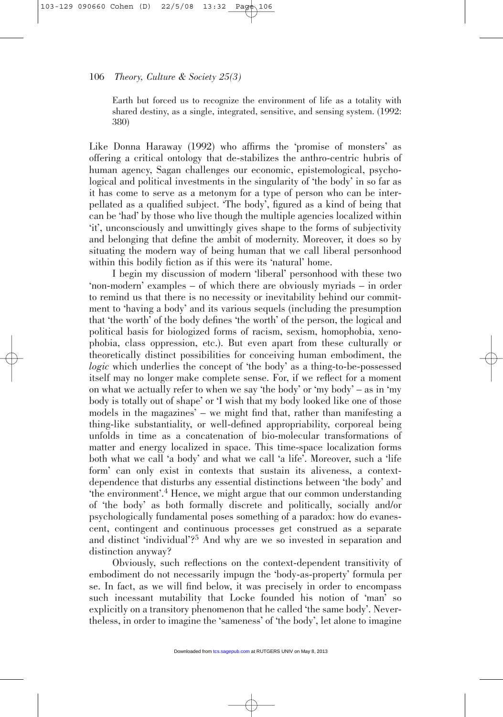Earth but forced us to recognize the environment of life as a totality with shared destiny, as a single, integrated, sensitive, and sensing system. (1992: 380)

Like Donna Haraway (1992) who affirms the 'promise of monsters' as offering a critical ontology that de-stabilizes the anthro-centric hubris of human agency, Sagan challenges our economic, epistemological, psychological and political investments in the singularity of 'the body' in so far as it has come to serve as a metonym for a type of person who can be interpellated as a qualified subject. 'The body', figured as a kind of being that can be 'had' by those who live though the multiple agencies localized within 'it', unconsciously and unwittingly gives shape to the forms of subjectivity and belonging that define the ambit of modernity. Moreover, it does so by situating the modern way of being human that we call liberal personhood within this bodily fiction as if this were its 'natural' home.

I begin my discussion of modern 'liberal' personhood with these two 'non-modern' examples – of which there are obviously myriads – in order to remind us that there is no necessity or inevitability behind our commitment to 'having a body' and its various sequels (including the presumption that 'the worth' of the body defines 'the worth' of the person, the logical and political basis for biologized forms of racism, sexism, homophobia, xenophobia, class oppression, etc.). But even apart from these culturally or theoretically distinct possibilities for conceiving human embodiment, the *logic* which underlies the concept of 'the body' as a thing-to-be-possessed itself may no longer make complete sense. For, if we reflect for a moment on what we actually refer to when we say 'the body' or 'my body' – as in 'my body is totally out of shape' or 'I wish that my body looked like one of those models in the magazines' – we might find that, rather than manifesting a thing-like substantiality, or well-defined appropriability, corporeal being unfolds in time as a concatenation of bio-molecular transformations of matter and energy localized in space. This time-space localization forms both what we call 'a body' and what we call 'a life'. Moreover, such a 'life form' can only exist in contexts that sustain its aliveness, a contextdependence that disturbs any essential distinctions between 'the body' and 'the environment'.4 Hence, we might argue that our common understanding of 'the body' as both formally discrete and politically, socially and/or psychologically fundamental poses something of a paradox: how do evanescent, contingent and continuous processes get construed as a separate and distinct 'individual'?5 And why are we so invested in separation and distinction anyway?

Obviously, such reflections on the context-dependent transitivity of embodiment do not necessarily impugn the 'body-as-property' formula per se. In fact, as we will find below, it was precisely in order to encompass such incessant mutability that Locke founded his notion of 'man' so explicitly on a transitory phenomenon that he called 'the same body'. Nevertheless, in order to imagine the 'sameness' of 'the body', let alone to imagine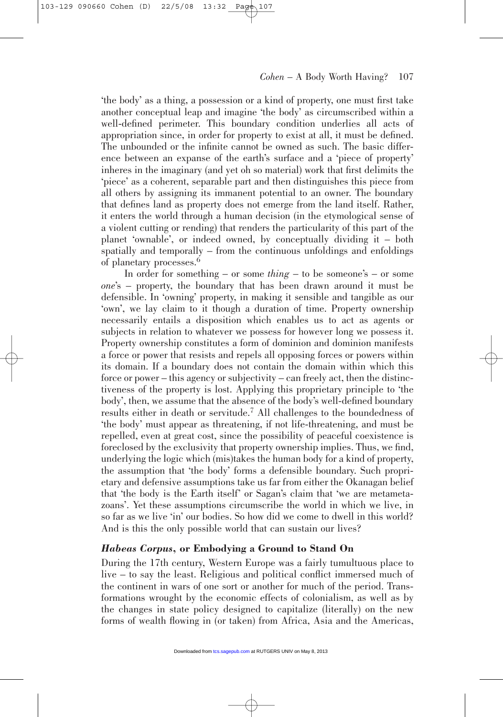'the body' as a thing, a possession or a kind of property, one must first take another conceptual leap and imagine 'the body' as circumscribed within a well-defined perimeter. This boundary condition underlies all acts of appropriation since, in order for property to exist at all, it must be defined. The unbounded or the infinite cannot be owned as such. The basic difference between an expanse of the earth's surface and a 'piece of property' inheres in the imaginary (and yet oh so material) work that first delimits the 'piece' as a coherent, separable part and then distinguishes this piece from all others by assigning its immanent potential to an owner. The boundary that defines land as property does not emerge from the land itself. Rather, it enters the world through a human decision (in the etymological sense of a violent cutting or rending) that renders the particularity of this part of the planet 'ownable', or indeed owned, by conceptually dividing it – both spatially and temporally – from the continuous unfoldings and enfoldings of planetary processes.6

In order for something – or some *thing* – to be someone's – or some *one*'s – property, the boundary that has been drawn around it must be defensible. In 'owning' property, in making it sensible and tangible as our 'own', we lay claim to it though a duration of time. Property ownership necessarily entails a disposition which enables us to act as agents or subjects in relation to whatever we possess for however long we possess it. Property ownership constitutes a form of dominion and dominion manifests a force or power that resists and repels all opposing forces or powers within its domain. If a boundary does not contain the domain within which this force or power – this agency or subjectivity – can freely act, then the distinctiveness of the property is lost. Applying this proprietary principle to 'the body', then, we assume that the absence of the body's well-defined boundary results either in death or servitude.7 All challenges to the boundedness of 'the body' must appear as threatening, if not life-threatening, and must be repelled, even at great cost, since the possibility of peaceful coexistence is foreclosed by the exclusivity that property ownership implies. Thus, we find, underlying the logic which (mis)takes the human body for a kind of property, the assumption that 'the body' forms a defensible boundary. Such proprietary and defensive assumptions take us far from either the Okanagan belief that 'the body is the Earth itself' or Sagan's claim that 'we are metametazoans'. Yet these assumptions circumscribe the world in which we live, in so far as we live 'in' our bodies. So how did we come to dwell in this world? And is this the only possible world that can sustain our lives?

#### *Habeas Corpus***, or Embodying a Ground to Stand On**

During the 17th century, Western Europe was a fairly tumultuous place to live – to say the least. Religious and political conflict immersed much of the continent in wars of one sort or another for much of the period. Transformations wrought by the economic effects of colonialism, as well as by the changes in state policy designed to capitalize (literally) on the new forms of wealth flowing in (or taken) from Africa, Asia and the Americas,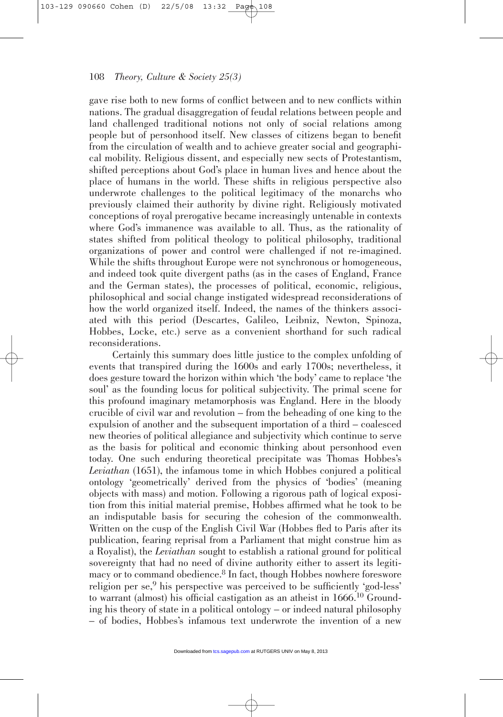gave rise both to new forms of conflict between and to new conflicts within nations. The gradual disaggregation of feudal relations between people and land challenged traditional notions not only of social relations among people but of personhood itself. New classes of citizens began to benefit from the circulation of wealth and to achieve greater social and geographical mobility. Religious dissent, and especially new sects of Protestantism, shifted perceptions about God's place in human lives and hence about the place of humans in the world. These shifts in religious perspective also underwrote challenges to the political legitimacy of the monarchs who previously claimed their authority by divine right. Religiously motivated conceptions of royal prerogative became increasingly untenable in contexts where God's immanence was available to all. Thus, as the rationality of states shifted from political theology to political philosophy, traditional organizations of power and control were challenged if not re-imagined. While the shifts throughout Europe were not synchronous or homogeneous, and indeed took quite divergent paths (as in the cases of England, France and the German states), the processes of political, economic, religious, philosophical and social change instigated widespread reconsiderations of how the world organized itself. Indeed, the names of the thinkers associated with this period (Descartes, Galileo, Leibniz, Newton, Spinoza, Hobbes, Locke, etc.) serve as a convenient shorthand for such radical reconsiderations.

Certainly this summary does little justice to the complex unfolding of events that transpired during the 1600s and early 1700s; nevertheless, it does gesture toward the horizon within which 'the body' came to replace 'the soul' as the founding locus for political subjectivity. The primal scene for this profound imaginary metamorphosis was England. Here in the bloody crucible of civil war and revolution – from the beheading of one king to the expulsion of another and the subsequent importation of a third – coalesced new theories of political allegiance and subjectivity which continue to serve as the basis for political and economic thinking about personhood even today. One such enduring theoretical precipitate was Thomas Hobbes's *Leviathan* (1651), the infamous tome in which Hobbes conjured a political ontology 'geometrically' derived from the physics of 'bodies' (meaning objects with mass) and motion. Following a rigorous path of logical exposition from this initial material premise, Hobbes affirmed what he took to be an indisputable basis for securing the cohesion of the commonwealth. Written on the cusp of the English Civil War (Hobbes fled to Paris after its publication, fearing reprisal from a Parliament that might construe him as a Royalist), the *Leviathan* sought to establish a rational ground for political sovereignty that had no need of divine authority either to assert its legitimacy or to command obedience.8 In fact, though Hobbes nowhere foreswore religion per se,<sup>9</sup> his perspective was perceived to be sufficiently 'god-less' to warrant (almost) his official castigation as an atheist in 1666.10 Grounding his theory of state in a political ontology – or indeed natural philosophy – of bodies, Hobbes's infamous text underwrote the invention of a new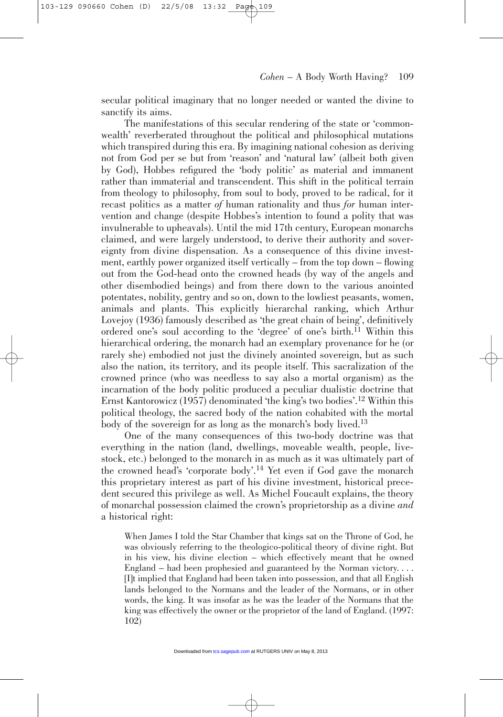secular political imaginary that no longer needed or wanted the divine to sanctify its aims.

The manifestations of this secular rendering of the state or 'commonwealth' reverberated throughout the political and philosophical mutations which transpired during this era. By imagining national cohesion as deriving not from God per se but from 'reason' and 'natural law' (albeit both given by God), Hobbes refigured the 'body politic' as material and immanent rather than immaterial and transcendent. This shift in the political terrain from theology to philosophy, from soul to body, proved to be radical, for it recast politics as a matter *of* human rationality and thus *for* human intervention and change (despite Hobbes's intention to found a polity that was invulnerable to upheavals). Until the mid 17th century, European monarchs claimed, and were largely understood, to derive their authority and sovereignty from divine dispensation. As a consequence of this divine investment, earthly power organized itself vertically – from the top down – flowing out from the God-head onto the crowned heads (by way of the angels and other disembodied beings) and from there down to the various anointed potentates, nobility, gentry and so on, down to the lowliest peasants, women, animals and plants. This explicitly hierarchal ranking, which Arthur Lovejoy (1936) famously described as 'the great chain of being', definitively ordered one's soul according to the 'degree' of one's birth.11 Within this hierarchical ordering, the monarch had an exemplary provenance for he (or rarely she) embodied not just the divinely anointed sovereign, but as such also the nation, its territory, and its people itself. This sacralization of the crowned prince (who was needless to say also a mortal organism) as the incarnation of the body politic produced a peculiar dualistic doctrine that Ernst Kantorowicz (1957) denominated 'the king's two bodies'.12 Within this political theology, the sacred body of the nation cohabited with the mortal body of the sovereign for as long as the monarch's body lived.13

One of the many consequences of this two-body doctrine was that everything in the nation (land, dwellings, moveable wealth, people, livestock, etc.) belonged to the monarch in as much as it was ultimately part of the crowned head's 'corporate body'.14 Yet even if God gave the monarch this proprietary interest as part of his divine investment, historical precedent secured this privilege as well. As Michel Foucault explains, the theory of monarchal possession claimed the crown's proprietorship as a divine *and* a historical right:

When James I told the Star Chamber that kings sat on the Throne of God, he was obviously referring to the theologico-political theory of divine right. But in his view, his divine election – which effectively meant that he owned England – had been prophesied and guaranteed by the Norman victory.... [I]t implied that England had been taken into possession, and that all English lands belonged to the Normans and the leader of the Normans, or in other words, the king. It was insofar as he was the leader of the Normans that the king was effectively the owner or the proprietor of the land of England. (1997: 102)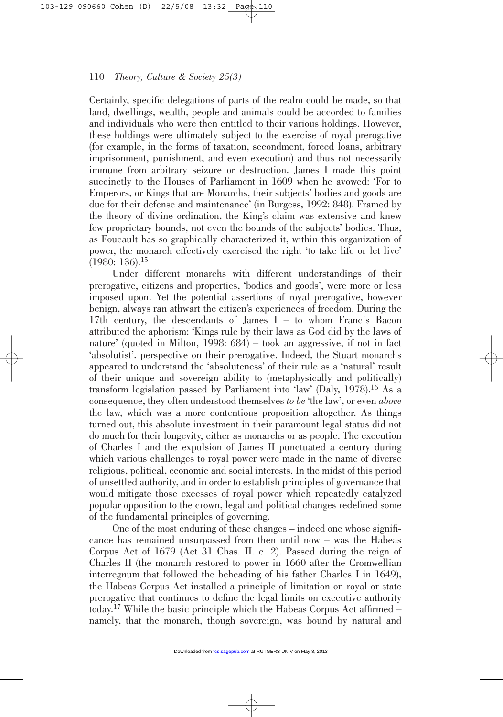Certainly, specific delegations of parts of the realm could be made, so that land, dwellings, wealth, people and animals could be accorded to families and individuals who were then entitled to their various holdings. However, these holdings were ultimately subject to the exercise of royal prerogative (for example, in the forms of taxation, secondment, forced loans, arbitrary imprisonment, punishment, and even execution) and thus not necessarily immune from arbitrary seizure or destruction. James I made this point succinctly to the Houses of Parliament in 1609 when he avowed: 'For to Emperors, or Kings that are Monarchs, their subjects' bodies and goods are due for their defense and maintenance' (in Burgess, 1992: 848). Framed by the theory of divine ordination, the King's claim was extensive and knew few proprietary bounds, not even the bounds of the subjects' bodies. Thus, as Foucault has so graphically characterized it, within this organization of power, the monarch effectively exercised the right 'to take life or let live'  $(1980: 136).$ <sup>15</sup>

Under different monarchs with different understandings of their prerogative, citizens and properties, 'bodies and goods', were more or less imposed upon. Yet the potential assertions of royal prerogative, however benign, always ran athwart the citizen's experiences of freedom. During the 17th century, the descendants of James I – to whom Francis Bacon attributed the aphorism: 'Kings rule by their laws as God did by the laws of nature' (quoted in Milton, 1998: 684) – took an aggressive, if not in fact 'absolutist', perspective on their prerogative. Indeed, the Stuart monarchs appeared to understand the 'absoluteness' of their rule as a 'natural' result of their unique and sovereign ability to (metaphysically and politically) transform legislation passed by Parliament into 'law' (Daly, 1978).16 As a consequence, they often understood themselves *to be* 'the law', or even *above* the law, which was a more contentious proposition altogether. As things turned out, this absolute investment in their paramount legal status did not do much for their longevity, either as monarchs or as people. The execution of Charles I and the expulsion of James II punctuated a century during which various challenges to royal power were made in the name of diverse religious, political, economic and social interests. In the midst of this period of unsettled authority, and in order to establish principles of governance that would mitigate those excesses of royal power which repeatedly catalyzed popular opposition to the crown, legal and political changes redefined some of the fundamental principles of governing.

One of the most enduring of these changes – indeed one whose significance has remained unsurpassed from then until now – was the Habeas Corpus Act of 1679 (Act 31 Chas. II. c. 2). Passed during the reign of Charles II (the monarch restored to power in 1660 after the Cromwellian interregnum that followed the beheading of his father Charles I in 1649), the Habeas Corpus Act installed a principle of limitation on royal or state prerogative that continues to define the legal limits on executive authority today.17 While the basic principle which the Habeas Corpus Act affirmed – namely, that the monarch, though sovereign, was bound by natural and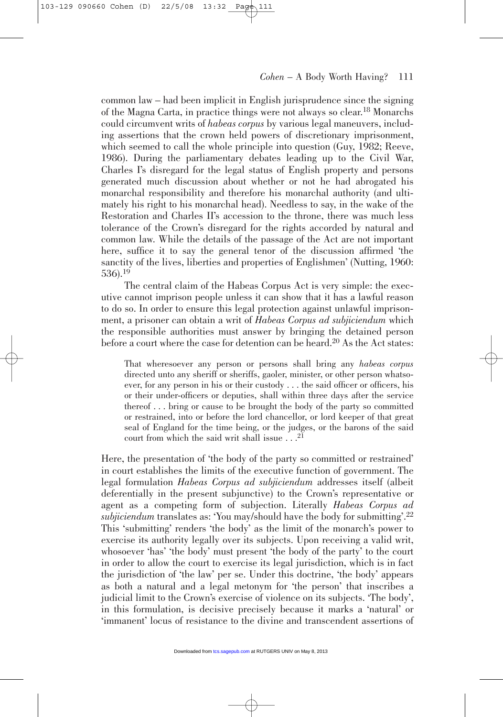common law – had been implicit in English jurisprudence since the signing of the Magna Carta, in practice things were not always so clear.18 Monarchs could circumvent writs of *habeas corpus* by various legal maneuvers, including assertions that the crown held powers of discretionary imprisonment, which seemed to call the whole principle into question (Guy, 1982; Reeve, 1986). During the parliamentary debates leading up to the Civil War, Charles I's disregard for the legal status of English property and persons generated much discussion about whether or not he had abrogated his monarchal responsibility and therefore his monarchal authority (and ultimately his right to his monarchal head). Needless to say, in the wake of the Restoration and Charles II's accession to the throne, there was much less tolerance of the Crown's disregard for the rights accorded by natural and common law. While the details of the passage of the Act are not important here, suffice it to say the general tenor of the discussion affirmed 'the sanctity of the lives, liberties and properties of Englishmen' (Nutting, 1960: 536).19

The central claim of the Habeas Corpus Act is very simple: the executive cannot imprison people unless it can show that it has a lawful reason to do so. In order to ensure this legal protection against unlawful imprisonment, a prisoner can obtain a writ of *Habeas Corpus ad subjiciendum* which the responsible authorities must answer by bringing the detained person before a court where the case for detention can be heard.20 As the Act states:

That wheresoever any person or persons shall bring any *habeas corpus* directed unto any sheriff or sheriffs, gaoler, minister, or other person whatsoever, for any person in his or their custody . . . the said officer or officers, his or their under-officers or deputies, shall within three days after the service thereof . . . bring or cause to be brought the body of the party so committed or restrained, into or before the lord chancellor, or lord keeper of that great seal of England for the time being, or the judges, or the barons of the said court from which the said writ shall issue . . .21

Here, the presentation of 'the body of the party so committed or restrained' in court establishes the limits of the executive function of government. The legal formulation *Habeas Corpus ad subjiciendum* addresses itself (albeit deferentially in the present subjunctive) to the Crown's representative or agent as a competing form of subjection. Literally *Habeas Corpus ad subjiciendum* translates as: 'You may/should have the body for submitting'.22 This 'submitting' renders 'the body' as the limit of the monarch's power to exercise its authority legally over its subjects. Upon receiving a valid writ, whosoever 'has' 'the body' must present 'the body of the party' to the court in order to allow the court to exercise its legal jurisdiction, which is in fact the jurisdiction of 'the law' per se. Under this doctrine, 'the body' appears as both a natural and a legal metonym for 'the person' that inscribes a judicial limit to the Crown's exercise of violence on its subjects. 'The body', in this formulation, is decisive precisely because it marks a 'natural' or 'immanent' locus of resistance to the divine and transcendent assertions of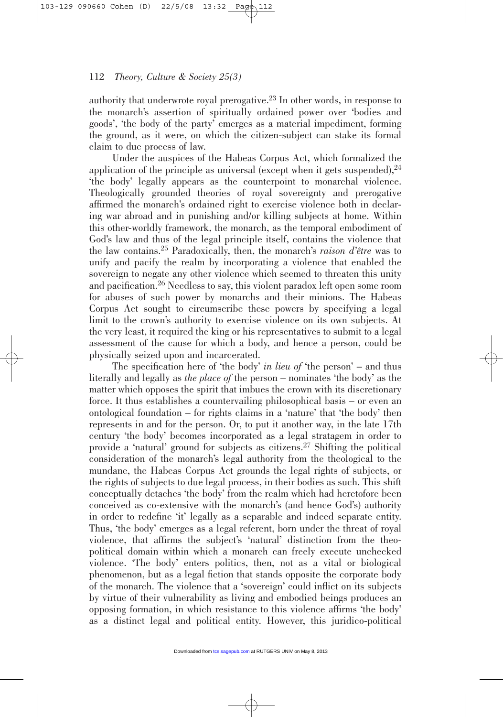authority that underwrote royal prerogative.23 In other words, in response to the monarch's assertion of spiritually ordained power over 'bodies and goods', 'the body of the party' emerges as a material impediment, forming the ground, as it were, on which the citizen-subject can stake its formal claim to due process of law.

Under the auspices of the Habeas Corpus Act, which formalized the application of the principle as universal (except when it gets suspended),  $24$ 'the body' legally appears as the counterpoint to monarchal violence. Theologically grounded theories of royal sovereignty and prerogative affirmed the monarch's ordained right to exercise violence both in declaring war abroad and in punishing and/or killing subjects at home. Within this other-worldly framework, the monarch, as the temporal embodiment of God's law and thus of the legal principle itself, contains the violence that the law contains.25 Paradoxically, then, the monarch's *raison d'être* was to unify and pacify the realm by incorporating a violence that enabled the sovereign to negate any other violence which seemed to threaten this unity and pacification.26 Needless to say, this violent paradox left open some room for abuses of such power by monarchs and their minions. The Habeas Corpus Act sought to circumscribe these powers by specifying a legal limit to the crown's authority to exercise violence on its own subjects. At the very least, it required the king or his representatives to submit to a legal assessment of the cause for which a body, and hence a person, could be physically seized upon and incarcerated.

The specification here of 'the body' *in lieu of* 'the person' – and thus literally and legally as *the place of* the person – nominates 'the body' as the matter which opposes the spirit that imbues the crown with its discretionary force. It thus establishes a countervailing philosophical basis – or even an ontological foundation – for rights claims in a 'nature' that 'the body' then represents in and for the person. Or, to put it another way, in the late 17th century 'the body' becomes incorporated as a legal stratagem in order to provide a 'natural' ground for subjects as citizens.27 Shifting the political consideration of the monarch's legal authority from the theological to the mundane, the Habeas Corpus Act grounds the legal rights of subjects, or the rights of subjects to due legal process, in their bodies as such. This shift conceptually detaches 'the body' from the realm which had heretofore been conceived as co-extensive with the monarch's (and hence God's) authority in order to redefine 'it' legally as a separable and indeed separate entity. Thus, 'the body' emerges as a legal referent, born under the threat of royal violence, that affirms the subject's 'natural' distinction from the theopolitical domain within which a monarch can freely execute unchecked violence. 'The body' enters politics, then, not as a vital or biological phenomenon, but as a legal fiction that stands opposite the corporate body of the monarch. The violence that a 'sovereign' could inflict on its subjects by virtue of their vulnerability as living and embodied beings produces an opposing formation, in which resistance to this violence affirms 'the body' as a distinct legal and political entity. However, this juridico-political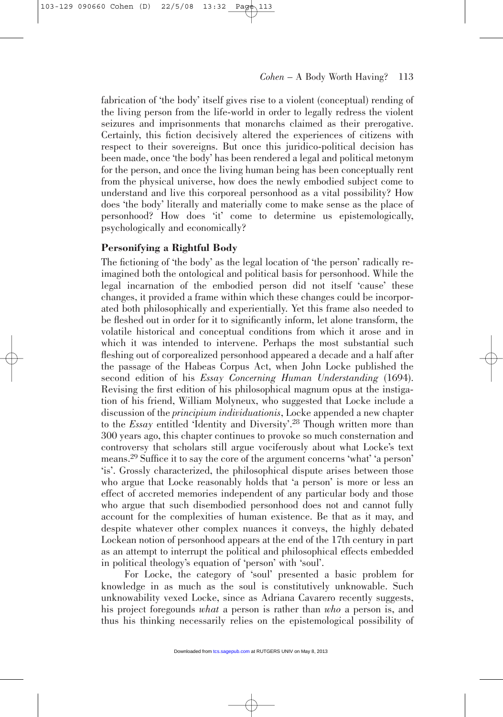fabrication of 'the body' itself gives rise to a violent (conceptual) rending of the living person from the life-world in order to legally redress the violent seizures and imprisonments that monarchs claimed as their prerogative. Certainly, this fiction decisively altered the experiences of citizens with respect to their sovereigns. But once this juridico-political decision has been made, once 'the body' has been rendered a legal and political metonym for the person, and once the living human being has been conceptually rent from the physical universe, how does the newly embodied subject come to understand and live this corporeal personhood as a vital possibility? How does 'the body' literally and materially come to make sense as the place of personhood? How does 'it' come to determine us epistemologically, psychologically and economically?

#### **Personifying a Rightful Body**

The fictioning of 'the body' as the legal location of 'the person' radically reimagined both the ontological and political basis for personhood. While the legal incarnation of the embodied person did not itself 'cause' these changes, it provided a frame within which these changes could be incorporated both philosophically and experientially. Yet this frame also needed to be fleshed out in order for it to significantly inform, let alone transform, the volatile historical and conceptual conditions from which it arose and in which it was intended to intervene. Perhaps the most substantial such fleshing out of corporealized personhood appeared a decade and a half after the passage of the Habeas Corpus Act, when John Locke published the second edition of his *Essay Concerning Human Understanding* (1694). Revising the first edition of his philosophical magnum opus at the instigation of his friend, William Molyneux, who suggested that Locke include a discussion of the *principium individuationis*, Locke appended a new chapter to the *Essay* entitled 'Identity and Diversity'.28 Though written more than 300 years ago, this chapter continues to provoke so much consternation and controversy that scholars still argue vociferously about what Locke's text means.29 Suffice it to say the core of the argument concerns 'what' 'a person' 'is'. Grossly characterized, the philosophical dispute arises between those who argue that Locke reasonably holds that 'a person' is more or less an effect of accreted memories independent of any particular body and those who argue that such disembodied personhood does not and cannot fully account for the complexities of human existence. Be that as it may, and despite whatever other complex nuances it conveys, the highly debated Lockean notion of personhood appears at the end of the 17th century in part as an attempt to interrupt the political and philosophical effects embedded in political theology's equation of 'person' with 'soul'.

For Locke, the category of 'soul' presented a basic problem for knowledge in as much as the soul is constitutively unknowable. Such unknowability vexed Locke, since as Adriana Cavarero recently suggests, his project foregounds *what* a person is rather than *who* a person is, and thus his thinking necessarily relies on the epistemological possibility of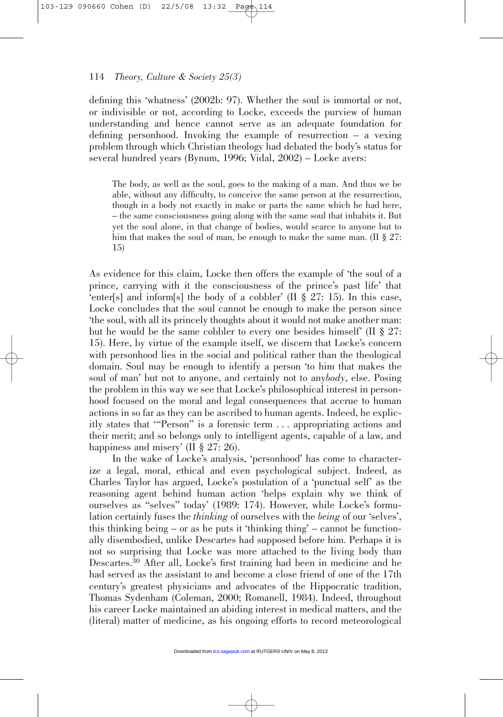defining this 'whatness' (2002b: 97). Whether the soul is immortal or not, or indivisible or not, according to Locke, exceeds the purview of human understanding and hence cannot serve as an adequate foundation for defining personhood. Invoking the example of resurrection – a vexing problem through which Christian theology had debated the body's status for several hundred years (Bynum, 1996; Vidal, 2002) – Locke avers:

The body, as well as the soul, goes to the making of a man. And thus we be able, without any difficulty, to conceive the same person at the resurrection, though in a body not exactly in make or parts the same which he had here, – the same consciousness going along with the same soul that inhabits it. But yet the soul alone, in that change of bodies, would scarce to anyone but to him that makes the soul of man, be enough to make the same man. (II § 27: 15)

As evidence for this claim, Locke then offers the example of 'the soul of a prince, carrying with it the consciousness of the prince's past life' that 'enter[s] and inform[s] the body of a cobbler' (II  $\S$  27: 15). In this case, Locke concludes that the soul cannot be enough to make the person since 'the soul, with all its princely thoughts about it would not make another man: but he would be the same cobbler to every one besides himself' (II § 27: 15). Here, by virtue of the example itself, we discern that Locke's concern with personhood lies in the social and political rather than the theological domain. Soul may be enough to identify a person 'to him that makes the soul of man' but not to anyone, and certainly not to any*body*, else. Posing the problem in this way we see that Locke's philosophical interest in personhood focused on the moral and legal consequences that accrue to human actions in so far as they can be ascribed to human agents. Indeed, he explicitly states that '"Person" is a forensic term . . . appropriating actions and their merit; and so belongs only to intelligent agents, capable of a law, and happiness and misery' (II § 27: 26).

In the wake of Locke's analysis, 'personhood' has come to characterize a legal, moral, ethical and even psychological subject. Indeed, as Charles Taylor has argued, Locke's postulation of a 'punctual self' as the reasoning agent behind human action 'helps explain why we think of ourselves as "selves" today' (1989: 174). However, while Locke's formulation certainly fuses the *thinking* of ourselves with the *being* of our 'selves', this thinking being – or as he puts it 'thinking thing' – cannot be functionally disembodied, unlike Descartes had supposed before him. Perhaps it is not so surprising that Locke was more attached to the living body than Descartes.30 After all, Locke's first training had been in medicine and he had served as the assistant to and become a close friend of one of the 17th century's greatest physicians and advocates of the Hippocratic tradition, Thomas Sydenham (Coleman, 2000; Romanell, 1984). Indeed, throughout his career Locke maintained an abiding interest in medical matters, and the (literal) matter of medicine, as his ongoing efforts to record meteorological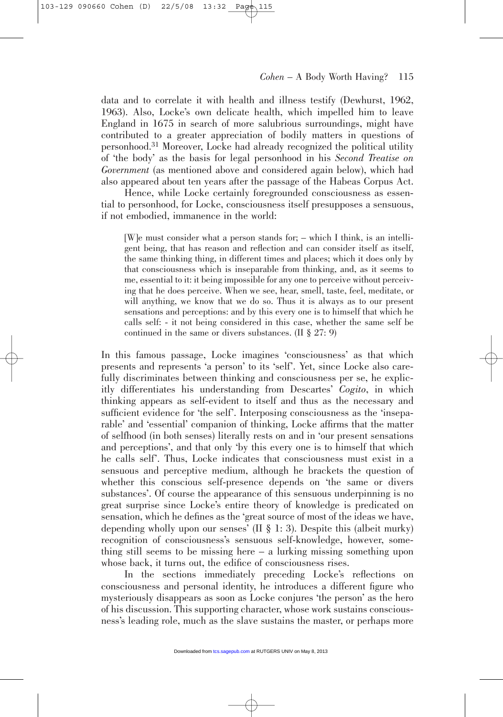data and to correlate it with health and illness testify (Dewhurst, 1962, 1963). Also, Locke's own delicate health, which impelled him to leave England in 1675 in search of more salubrious surroundings, might have contributed to a greater appreciation of bodily matters in questions of personhood.31 Moreover, Locke had already recognized the political utility of 'the body' as the basis for legal personhood in his *Second Treatise on Government* (as mentioned above and considered again below), which had also appeared about ten years after the passage of the Habeas Corpus Act.

Hence, while Locke certainly foregrounded consciousness as essential to personhood, for Locke, consciousness itself presupposes a sensuous, if not embodied, immanence in the world:

[W]e must consider what a person stands for; – which I think, is an intelligent being, that has reason and reflection and can consider itself as itself, the same thinking thing, in different times and places; which it does only by that consciousness which is inseparable from thinking, and, as it seems to me, essential to it: it being impossible for any one to perceive without perceiving that he does perceive. When we see, hear, smell, taste, feel, meditate, or will anything, we know that we do so. Thus it is always as to our present sensations and perceptions: and by this every one is to himself that which he calls self: - it not being considered in this case, whether the same self be continued in the same or divers substances. (II § 27: 9)

In this famous passage, Locke imagines 'consciousness' as that which presents and represents 'a person' to its 'self'. Yet, since Locke also carefully discriminates between thinking and consciousness per se, he explicitly differentiates his understanding from Descartes' *Cogito*, in which thinking appears as self-evident to itself and thus as the necessary and sufficient evidence for 'the self'. Interposing consciousness as the 'inseparable' and 'essential' companion of thinking, Locke affirms that the matter of selfhood (in both senses) literally rests on and in 'our present sensations and perceptions', and that only 'by this every one is to himself that which he calls self'. Thus, Locke indicates that consciousness must exist in a sensuous and perceptive medium, although he brackets the question of whether this conscious self-presence depends on 'the same or divers substances'. Of course the appearance of this sensuous underpinning is no great surprise since Locke's entire theory of knowledge is predicated on sensation, which he defines as the 'great source of most of the ideas we have, depending wholly upon our senses' (II § 1: 3). Despite this (albeit murky) recognition of consciousness's sensuous self-knowledge, however, something still seems to be missing here – a lurking missing something upon whose back, it turns out, the edifice of consciousness rises.

In the sections immediately preceding Locke's reflections on consciousness and personal identity, he introduces a different figure who mysteriously disappears as soon as Locke conjures 'the person' as the hero of his discussion. This supporting character, whose work sustains consciousness's leading role, much as the slave sustains the master, or perhaps more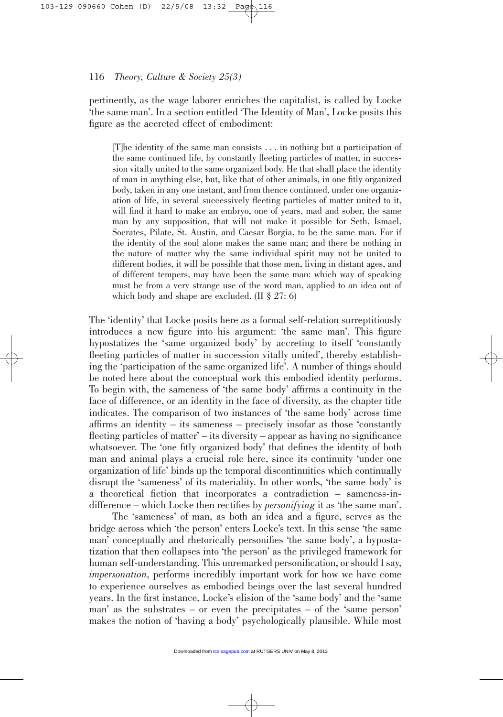pertinently, as the wage laborer enriches the capitalist, is called by Locke 'the same man'. In a section entitled 'The Identity of Man', Locke posits this figure as the accreted effect of embodiment:

[T]he identity of the same man consists . . . in nothing but a participation of the same continued life, by constantly fleeting particles of matter, in succession vitally united to the same organized body. He that shall place the identity of man in anything else, but, like that of other animals, in one fitly organized body, taken in any one instant, and from thence continued, under one organization of life, in several successively fleeting particles of matter united to it, will find it hard to make an embryo, one of years, mad and sober, the same man by any supposition, that will not make it possible for Seth, Ismael, Socrates, Pilate, St. Austin, and Caesar Borgia, to be the same man. For if the identity of the soul alone makes the same man; and there be nothing in the nature of matter why the same individual spirit may not be united to different bodies, it will be possible that those men, living in distant ages, and of different tempers, may have been the same man: which way of speaking must be from a very strange use of the word man, applied to an idea out of which body and shape are excluded. (II § 27: 6)

The 'identity' that Locke posits here as a formal self-relation surreptitiously introduces a new figure into his argument: 'the same man'. This figure hypostatizes the 'same organized body' by accreting to itself 'constantly fleeting particles of matter in succession vitally united', thereby establishing the 'participation of the same organized life'. A number of things should be noted here about the conceptual work this embodied identity performs. To begin with, the sameness of 'the same body' affirms a continuity in the face of difference, or an identity in the face of diversity, as the chapter title indicates. The comparison of two instances of 'the same body' across time affirms an identity – its sameness – precisely insofar as those 'constantly fleeting particles of matter' – its diversity – appear as having no significance whatsoever. The 'one fitly organized body' that defines the identity of both man and animal plays a crucial role here, since its continuity 'under one organization of life' binds up the temporal discontinuities which continually disrupt the 'sameness' of its materiality. In other words, 'the same body' is a theoretical fiction that incorporates a contradiction – sameness-indifference – which Locke then rectifies by *personifying* it as 'the same man'.

The 'sameness' of man, as both an idea and a figure, serves as the bridge across which 'the person' enters Locke's text. In this sense 'the same man' conceptually and rhetorically personifies 'the same body', a hypostatization that then collapses into 'the person' as the privileged framework for human self-understanding. This unremarked personification, or should I say, *impersonation*, performs incredibly important work for how we have come to experience ourselves as embodied beings over the last several hundred years. In the first instance, Locke's elision of the 'same body' and the 'same man' as the substrates – or even the precipitates – of the 'same person' makes the notion of 'having a body' psychologically plausible. While most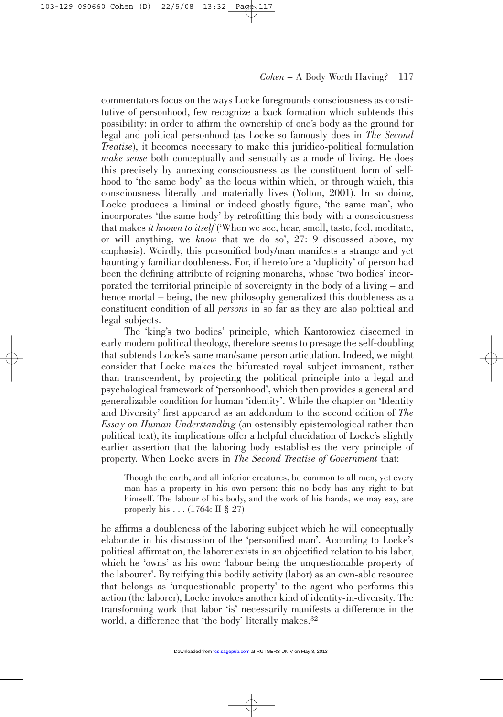commentators focus on the ways Locke foregrounds consciousness as constitutive of personhood, few recognize a back formation which subtends this possibility: in order to affirm the ownership of one's body as the ground for legal and political personhood (as Locke so famously does in *The Second Treatise*), it becomes necessary to make this juridico-political formulation *make sense* both conceptually and sensually as a mode of living. He does this precisely by annexing consciousness as the constituent form of selfhood to 'the same body' as the locus within which, or through which, this consciousness literally and materially lives (Yolton, 2001). In so doing, Locke produces a liminal or indeed ghostly figure, 'the same man', who incorporates 'the same body' by retrofitting this body with a consciousness that makes *it known to itself* ('When we see, hear, smell, taste, feel, meditate, or will anything, we *know* that we do so', 27: 9 discussed above, my emphasis). Weirdly, this personified body/man manifests a strange and yet hauntingly familiar doubleness. For, if heretofore a 'duplicity' of person had been the defining attribute of reigning monarchs, whose 'two bodies' incorporated the territorial principle of sovereignty in the body of a living – and hence mortal – being, the new philosophy generalized this doubleness as a constituent condition of all *persons* in so far as they are also political and legal subjects.

The 'king's two bodies' principle, which Kantorowicz discerned in early modern political theology, therefore seems to presage the self-doubling that subtends Locke's same man/same person articulation. Indeed, we might consider that Locke makes the bifurcated royal subject immanent, rather than transcendent, by projecting the political principle into a legal and psychological framework of 'personhood', which then provides a general and generalizable condition for human 'identity'. While the chapter on 'Identity and Diversity' first appeared as an addendum to the second edition of *The Essay on Human Understanding* (an ostensibly epistemological rather than political text), its implications offer a helpful elucidation of Locke's slightly earlier assertion that the laboring body establishes the very principle of property. When Locke avers in *The Second Treatise of Government* that:

Though the earth, and all inferior creatures, be common to all men, yet every man has a property in his own person: this no body has any right to but himself. The labour of his body, and the work of his hands, we may say, are properly his . . . (1764: II § 27)

he affirms a doubleness of the laboring subject which he will conceptually elaborate in his discussion of the 'personified man'. According to Locke's political affirmation, the laborer exists in an objectified relation to his labor, which he 'owns' as his own: 'labour being the unquestionable property of the labourer'. By reifying this bodily activity (labor) as an own-able resource that belongs as 'unquestionable property' to the agent who performs this action (the laborer), Locke invokes another kind of identity-in-diversity. The transforming work that labor 'is' necessarily manifests a difference in the world, a difference that 'the body' literally makes.<sup>32</sup>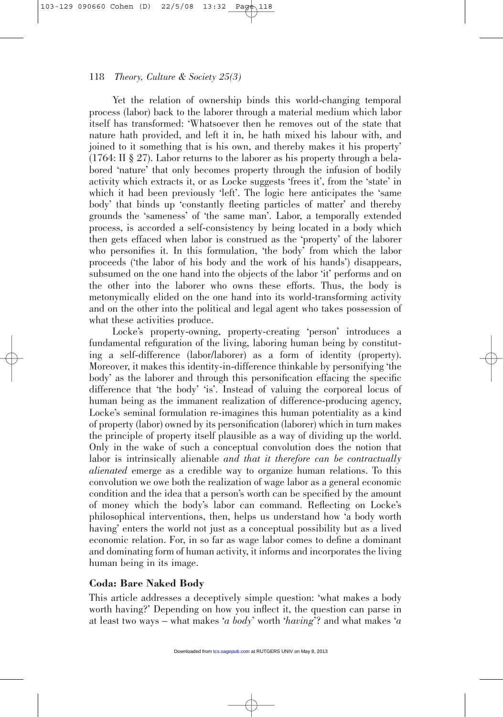Yet the relation of ownership binds this world-changing temporal process (labor) back to the laborer through a material medium which labor itself has transformed: 'Whatsoever then he removes out of the state that nature hath provided, and left it in, he hath mixed his labour with, and joined to it something that is his own, and thereby makes it his property' (1764: II § 27). Labor returns to the laborer as his property through a belabored 'nature' that only becomes property through the infusion of bodily activity which extracts it, or as Locke suggests 'frees it', from the 'state' in which it had been previously 'left'. The logic here anticipates the 'same body' that binds up 'constantly fleeting particles of matter' and thereby grounds the 'sameness' of 'the same man'. Labor, a temporally extended process, is accorded a self-consistency by being located in a body which then gets effaced when labor is construed as the 'property' of the laborer who personifies it. In this formulation, 'the body' from which the labor proceeds ('the labor of his body and the work of his hands') disappears, subsumed on the one hand into the objects of the labor 'it' performs and on the other into the laborer who owns these efforts. Thus, the body is metonymically elided on the one hand into its world-transforming activity and on the other into the political and legal agent who takes possession of what these activities produce.

Locke's property-owning, property-creating 'person' introduces a fundamental refiguration of the living, laboring human being by constituting a self-difference (labor/laborer) as a form of identity (property). Moreover, it makes this identity-in-difference thinkable by personifying 'the body' as the laborer and through this personification effacing the specific difference that 'the body' 'is'. Instead of valuing the corporeal locus of human being as the immanent realization of difference-producing agency, Locke's seminal formulation re-imagines this human potentiality as a kind of property (labor) owned by its personification (laborer) which in turn makes the principle of property itself plausible as a way of dividing up the world. Only in the wake of such a conceptual convolution does the notion that labor is intrinsically alienable *and that it therefore can be contractually alienated* emerge as a credible way to organize human relations. To this convolution we owe both the realization of wage labor as a general economic condition and the idea that a person's worth can be specified by the amount of money which the body's labor can command. Reflecting on Locke's philosophical interventions, then, helps us understand how 'a body worth having' enters the world not just as a conceptual possibility but as a lived economic relation. For, in so far as wage labor comes to define a dominant and dominating form of human activity, it informs and incorporates the living human being in its image.

#### **Coda: Bare Naked Body**

This article addresses a deceptively simple question: 'what makes a body worth having?' Depending on how you inflect it, the question can parse in at least two ways – what makes '*a body*' worth '*having*'? and what makes '*a*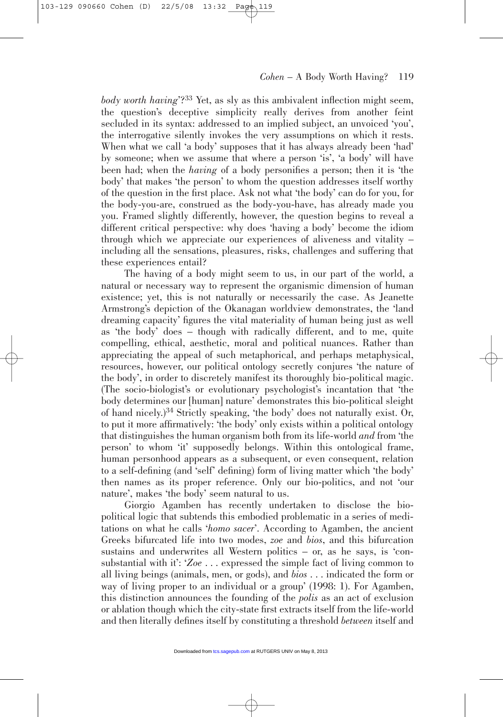*body worth having*'?<sup>33</sup> Yet, as sly as this ambivalent inflection might seem, the question's deceptive simplicity really derives from another feint secluded in its syntax: addressed to an implied subject, an unvoiced 'you', the interrogative silently invokes the very assumptions on which it rests. When what we call 'a body' supposes that it has always already been 'had' by someone; when we assume that where a person 'is', 'a body' will have been had; when the *having* of a body personifies a person; then it is 'the body' that makes 'the person' to whom the question addresses itself worthy of the question in the first place. Ask not what 'the body' can do for you, for the body-you-are, construed as the body-you-have, has already made you you. Framed slightly differently, however, the question begins to reveal a different critical perspective: why does 'having a body' become the idiom through which we appreciate our experiences of aliveness and vitality – including all the sensations, pleasures, risks, challenges and suffering that these experiences entail?

The having of a body might seem to us, in our part of the world, a natural or necessary way to represent the organismic dimension of human existence; yet, this is not naturally or necessarily the case. As Jeanette Armstrong's depiction of the Okanagan worldview demonstrates, the 'land dreaming capacity' figures the vital materiality of human being just as well as 'the body' does – though with radically different, and to me, quite compelling, ethical, aesthetic, moral and political nuances. Rather than appreciating the appeal of such metaphorical, and perhaps metaphysical, resources, however, our political ontology secretly conjures 'the nature of the body', in order to discretely manifest its thoroughly bio-political magic. (The socio-biologist's or evolutionary psychologist's incantation that 'the body determines our [human] nature' demonstrates this bio-political sleight of hand nicely.)34 Strictly speaking, 'the body' does not naturally exist. Or, to put it more affirmatively: 'the body' only exists within a political ontology that distinguishes the human organism both from its life-world *and* from 'the person' to whom 'it' supposedly belongs. Within this ontological frame, human personhood appears as a subsequent, or even consequent, relation to a self-defining (and 'self' defining) form of living matter which 'the body' then names as its proper reference. Only our bio-politics, and not 'our nature', makes 'the body' seem natural to us.

Giorgio Agamben has recently undertaken to disclose the biopolitical logic that subtends this embodied problematic in a series of meditations on what he calls '*homo sacer*'. According to Agamben, the ancient Greeks bifurcated life into two modes, *zoe* and *bios*, and this bifurcation sustains and underwrites all Western politics – or, as he says, is 'consubstantial with it': '*Zoe* . . . expressed the simple fact of living common to all living beings (animals, men, or gods), and *bios* . . . indicated the form or way of living proper to an individual or a group' (1998: 1). For Agamben, this distinction announces the founding of the *polis* as an act of exclusion or ablation though which the city-state first extracts itself from the life-world and then literally defines itself by constituting a threshold *between* itself and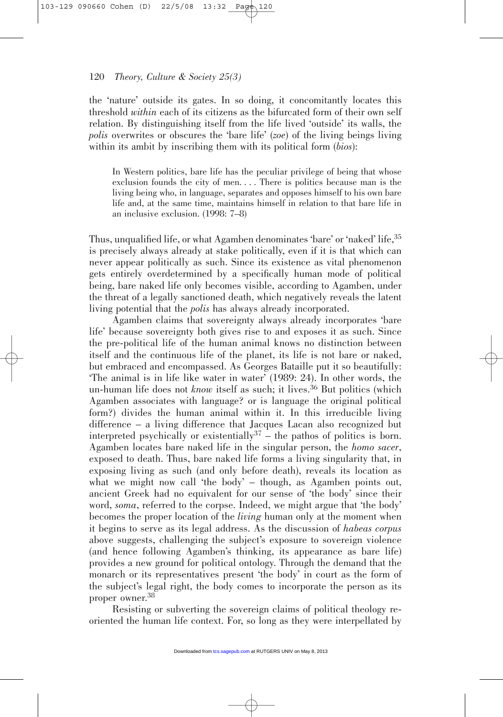the 'nature' outside its gates. In so doing, it concomitantly locates this threshold *within* each of its citizens as the bifurcated form of their own self relation. By distinguishing itself from the life lived 'outside' its walls, the *polis* overwrites or obscures the 'bare life' (*zoe*) of the living beings living within its ambit by inscribing them with its political form (*bios*):

In Western politics, bare life has the peculiar privilege of being that whose exclusion founds the city of men. . . . There is politics because man is the living being who, in language, separates and opposes himself to his own bare life and, at the same time, maintains himself in relation to that bare life in an inclusive exclusion. (1998: 7–8)

Thus, unqualified life, or what Agamben denominates 'bare' or 'naked' life,35 is precisely always already at stake politically, even if it is that which can never appear politically as such. Since its existence as vital phenomenon gets entirely overdetermined by a specifically human mode of political being, bare naked life only becomes visible, according to Agamben, under the threat of a legally sanctioned death, which negatively reveals the latent living potential that the *polis* has always already incorporated.

Agamben claims that sovereignty always already incorporates 'bare life' because sovereignty both gives rise to and exposes it as such. Since the pre-political life of the human animal knows no distinction between itself and the continuous life of the planet, its life is not bare or naked, but embraced and encompassed. As Georges Bataille put it so beautifully: 'The animal is in life like water in water' (1989: 24). In other words, the un-human life does not *know* itself as such; it lives.<sup>36</sup> But politics (which Agamben associates with language? or is language the original political form?) divides the human animal within it. In this irreducible living difference – a living difference that Jacques Lacan also recognized but interpreted psychically or existentially  $2^3$  – the pathos of politics is born. Agamben locates bare naked life in the singular person, the *homo sacer*, exposed to death. Thus, bare naked life forms a living singularity that, in exposing living as such (and only before death), reveals its location as what we might now call 'the body' – though, as Agamben points out, ancient Greek had no equivalent for our sense of 'the body' since their word, *soma*, referred to the corpse. Indeed, we might argue that 'the body' becomes the proper location of the *living* human only at the moment when it begins to serve as its legal address. As the discussion of *habeas corpus* above suggests, challenging the subject's exposure to sovereign violence (and hence following Agamben's thinking, its appearance as bare life) provides a new ground for political ontology. Through the demand that the monarch or its representatives present 'the body' in court as the form of the subject's legal right, the body comes to incorporate the person as its proper owner.38

Resisting or subverting the sovereign claims of political theology reoriented the human life context. For, so long as they were interpellated by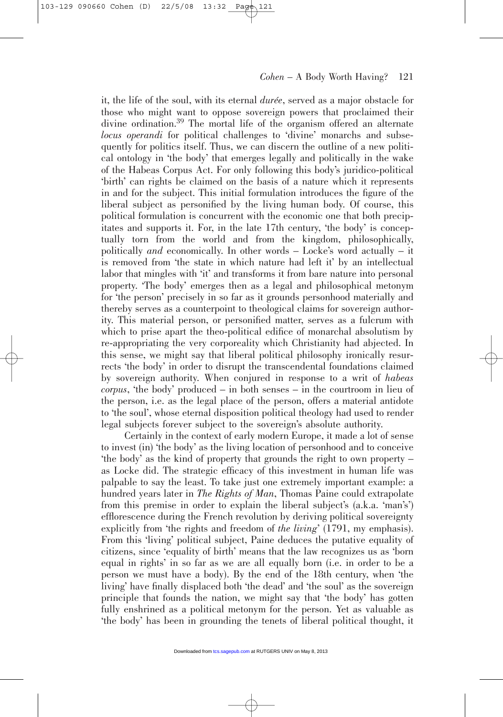it, the life of the soul, with its eternal *durée*, served as a major obstacle for those who might want to oppose sovereign powers that proclaimed their divine ordination.39 The mortal life of the organism offered an alternate *locus operandi* for political challenges to 'divine' monarchs and subsequently for politics itself. Thus, we can discern the outline of a new political ontology in 'the body' that emerges legally and politically in the wake of the Habeas Corpus Act. For only following this body's juridico-political 'birth' can rights be claimed on the basis of a nature which it represents in and for the subject. This initial formulation introduces the figure of the liberal subject as personified by the living human body. Of course, this political formulation is concurrent with the economic one that both precipitates and supports it. For, in the late 17th century, 'the body' is conceptually torn from the world and from the kingdom, philosophically, politically *and* economically. In other words – Locke's word actually – it is removed from 'the state in which nature had left it' by an intellectual labor that mingles with 'it' and transforms it from bare nature into personal property. 'The body' emerges then as a legal and philosophical metonym for 'the person' precisely in so far as it grounds personhood materially and thereby serves as a counterpoint to theological claims for sovereign authority. This material person, or personified matter, serves as a fulcrum with which to prise apart the theo-political edifice of monarchal absolutism by re-appropriating the very corporeality which Christianity had abjected. In this sense, we might say that liberal political philosophy ironically resurrects 'the body' in order to disrupt the transcendental foundations claimed by sovereign authority. When conjured in response to a writ of *habeas corpus*, 'the body' produced – in both senses – in the courtroom in lieu of the person, i.e. as the legal place of the person, offers a material antidote to 'the soul', whose eternal disposition political theology had used to render legal subjects forever subject to the sovereign's absolute authority.

Certainly in the context of early modern Europe, it made a lot of sense to invest (in) 'the body' as the living location of personhood and to conceive 'the body' as the kind of property that grounds the right to own property – as Locke did. The strategic efficacy of this investment in human life was palpable to say the least. To take just one extremely important example: a hundred years later in *The Rights of Man*, Thomas Paine could extrapolate from this premise in order to explain the liberal subject's (a.k.a. 'man's') efflorescence during the French revolution by deriving political sovereignty explicitly from 'the rights and freedom of *the living*' (1791, my emphasis). From this 'living' political subject, Paine deduces the putative equality of citizens, since 'equality of birth' means that the law recognizes us as 'born equal in rights' in so far as we are all equally born (i.e. in order to be a person we must have a body). By the end of the 18th century, when 'the living' have finally displaced both 'the dead' and 'the soul' as the sovereign principle that founds the nation, we might say that 'the body' has gotten fully enshrined as a political metonym for the person. Yet as valuable as 'the body' has been in grounding the tenets of liberal political thought, it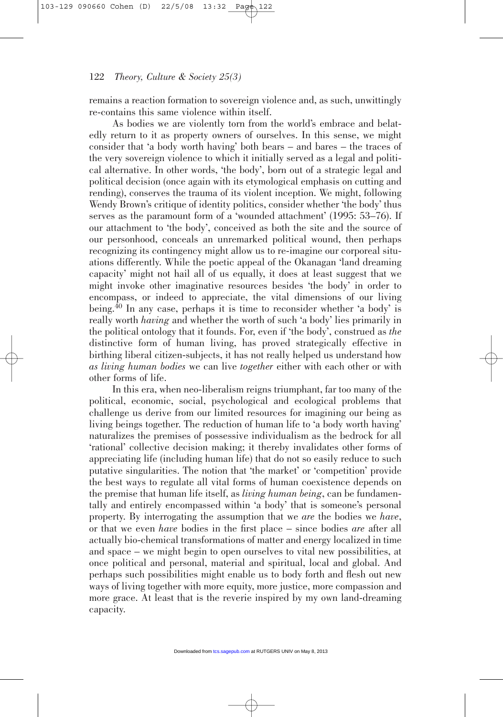remains a reaction formation to sovereign violence and, as such, unwittingly re-contains this same violence within itself.

As bodies we are violently torn from the world's embrace and belatedly return to it as property owners of ourselves. In this sense, we might consider that 'a body worth having' both bears – and bares – the traces of the very sovereign violence to which it initially served as a legal and political alternative. In other words, 'the body', born out of a strategic legal and political decision (once again with its etymological emphasis on cutting and rending), conserves the trauma of its violent inception. We might, following Wendy Brown's critique of identity politics, consider whether 'the body' thus serves as the paramount form of a 'wounded attachment' (1995: 53–76). If our attachment to 'the body', conceived as both the site and the source of our personhood, conceals an unremarked political wound, then perhaps recognizing its contingency might allow us to re-imagine our corporeal situations differently. While the poetic appeal of the Okanagan 'land dreaming capacity' might not hail all of us equally, it does at least suggest that we might invoke other imaginative resources besides 'the body' in order to encompass, or indeed to appreciate, the vital dimensions of our living being. $^{40}$  In any case, perhaps it is time to reconsider whether 'a body' is really worth *having* and whether the worth of such 'a body' lies primarily in the political ontology that it founds. For, even if 'the body', construed as *the* distinctive form of human living, has proved strategically effective in birthing liberal citizen-subjects, it has not really helped us understand how *as living human bodies* we can live *together* either with each other or with other forms of life.

In this era, when neo-liberalism reigns triumphant, far too many of the political, economic, social, psychological and ecological problems that challenge us derive from our limited resources for imagining our being as living beings together. The reduction of human life to 'a body worth having' naturalizes the premises of possessive individualism as the bedrock for all 'rational' collective decision making; it thereby invalidates other forms of appreciating life (including human life) that do not so easily reduce to such putative singularities. The notion that 'the market' or 'competition' provide the best ways to regulate all vital forms of human coexistence depends on the premise that human life itself, as *living human being*, can be fundamentally and entirely encompassed within 'a body' that is someone's personal property. By interrogating the assumption that we *are* the bodies we *have*, or that we even *have* bodies in the first place – since bodies *are* after all actually bio-chemical transformations of matter and energy localized in time and space – we might begin to open ourselves to vital new possibilities, at once political and personal, material and spiritual, local and global. And perhaps such possibilities might enable us to body forth and flesh out new ways of living together with more equity, more justice, more compassion and more grace. At least that is the reverie inspired by my own land-dreaming capacity.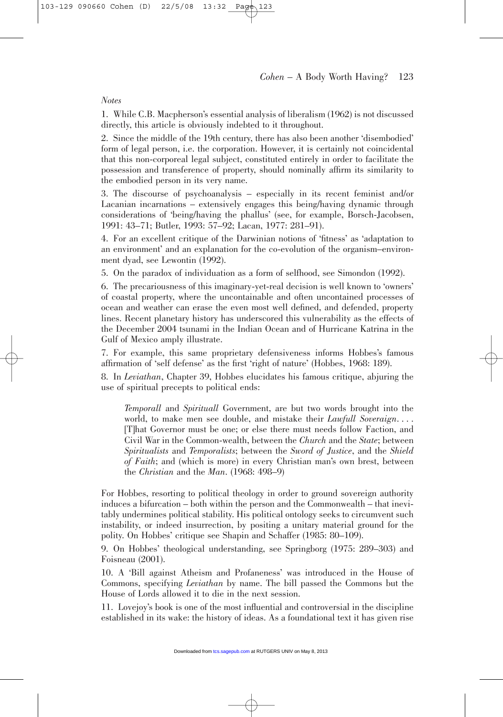*Notes*

1. While C.B. Macpherson's essential analysis of liberalism (1962) is not discussed directly, this article is obviously indebted to it throughout.

2. Since the middle of the 19th century, there has also been another 'disembodied' form of legal person, i.e. the corporation. However, it is certainly not coincidental that this non-corporeal legal subject, constituted entirely in order to facilitate the possession and transference of property, should nominally affirm its similarity to the embodied person in its very name.

3. The discourse of psychoanalysis – especially in its recent feminist and/or Lacanian incarnations – extensively engages this being/having dynamic through considerations of 'being/having the phallus' (see, for example, Borsch-Jacobsen, 1991: 43–71; Butler, 1993: 57–92; Lacan, 1977: 281–91).

4. For an excellent critique of the Darwinian notions of 'fitness' as 'adaptation to an environment' and an explanation for the co-evolution of the organism–environment dyad, see Lewontin (1992).

5. On the paradox of individuation as a form of selfhood, see Simondon (1992).

6. The precariousness of this imaginary-yet-real decision is well known to 'owners' of coastal property, where the uncontainable and often uncontained processes of ocean and weather can erase the even most well defined, and defended, property lines. Recent planetary history has underscored this vulnerability as the effects of the December 2004 tsunami in the Indian Ocean and of Hurricane Katrina in the Gulf of Mexico amply illustrate.

7. For example, this same proprietary defensiveness informs Hobbes's famous affirmation of 'self defense' as the first 'right of nature' (Hobbes, 1968: 189).

8. In *Leviathan*, Chapter 39, Hobbes elucidates his famous critique, abjuring the use of spiritual precepts to political ends:

*Temporall* and *Spirituall* Government, are but two words brought into the world, to make men see double, and mistake their *Lawfull Soveraign*.... [T]hat Governor must be one; or else there must needs follow Faction, and Civil War in the Common-wealth, between the *Church* and the *State*; between *Spiritualists* and *Temporalists*; between the *Sword of Justice*, and the *Shield of Faith*; and (which is more) in every Christian man's own brest, between the *Christian* and the *Man*. (1968: 498–9)

For Hobbes, resorting to political theology in order to ground sovereign authority induces a bifurcation – both within the person and the Commonwealth – that inevitably undermines political stability. His political ontology seeks to circumvent such instability, or indeed insurrection, by positing a unitary material ground for the polity. On Hobbes' critique see Shapin and Schaffer (1985: 80–109).

9. On Hobbes' theological understanding, see Springborg (1975: 289–303) and Foisneau (2001).

10. A 'Bill against Atheism and Profaneness' was introduced in the House of Commons, specifying *Leviathan* by name. The bill passed the Commons but the House of Lords allowed it to die in the next session.

11. Lovejoy's book is one of the most influential and controversial in the discipline established in its wake: the history of ideas. As a foundational text it has given rise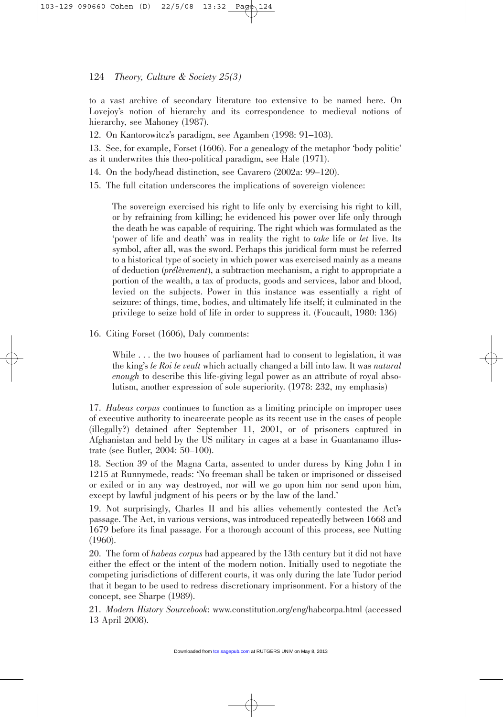to a vast archive of secondary literature too extensive to be named here. On Lovejoy's notion of hierarchy and its correspondence to medieval notions of hierarchy, see Mahoney (1987).

12. On Kantorowitcz's paradigm, see Agamben (1998: 91–103).

13. See, for example, Forset (1606). For a genealogy of the metaphor 'body politic' as it underwrites this theo-political paradigm, see Hale (1971).

14. On the body/head distinction, see Cavarero (2002a: 99–120).

15. The full citation underscores the implications of sovereign violence:

The sovereign exercised his right to life only by exercising his right to kill, or by refraining from killing; he evidenced his power over life only through the death he was capable of requiring. The right which was formulated as the 'power of life and death' was in reality the right to *take* life or *let* live. Its symbol, after all, was the sword. Perhaps this juridical form must be referred to a historical type of society in which power was exercised mainly as a means of deduction (*prélèvement*), a subtraction mechanism, a right to appropriate a portion of the wealth, a tax of products, goods and services, labor and blood, levied on the subjects. Power in this instance was essentially a right of seizure: of things, time, bodies, and ultimately life itself; it culminated in the privilege to seize hold of life in order to suppress it. (Foucault, 1980: 136)

16. Citing Forset (1606), Daly comments:

While ... the two houses of parliament had to consent to legislation, it was the king's *le Roi le veult* which actually changed a bill into law. It was *natural enough* to describe this life-giving legal power as an attribute of royal absolutism, another expression of sole superiority. (1978: 232, my emphasis)

17. *Habeas corpus* continues to function as a limiting principle on improper uses of executive authority to incarcerate people as its recent use in the cases of people (illegally?) detained after September 11, 2001, or of prisoners captured in Afghanistan and held by the US military in cages at a base in Guantanamo illustrate (see Butler, 2004: 50–100).

18. Section 39 of the Magna Carta, assented to under duress by King John I in 1215 at Runnymede, reads: 'No freeman shall be taken or imprisoned or disseised or exiled or in any way destroyed, nor will we go upon him nor send upon him, except by lawful judgment of his peers or by the law of the land.'

19. Not surprisingly, Charles II and his allies vehemently contested the Act's passage. The Act, in various versions, was introduced repeatedly between 1668 and 1679 before its final passage. For a thorough account of this process, see Nutting (1960).

20. The form of *habeas corpus* had appeared by the 13th century but it did not have either the effect or the intent of the modern notion. Initially used to negotiate the competing jurisdictions of different courts, it was only during the late Tudor period that it began to be used to redress discretionary imprisonment. For a history of the concept, see Sharpe (1989).

21. *Modern History Sourcebook*: www.constitution.org/eng/habcorpa.html (accessed 13 April 2008).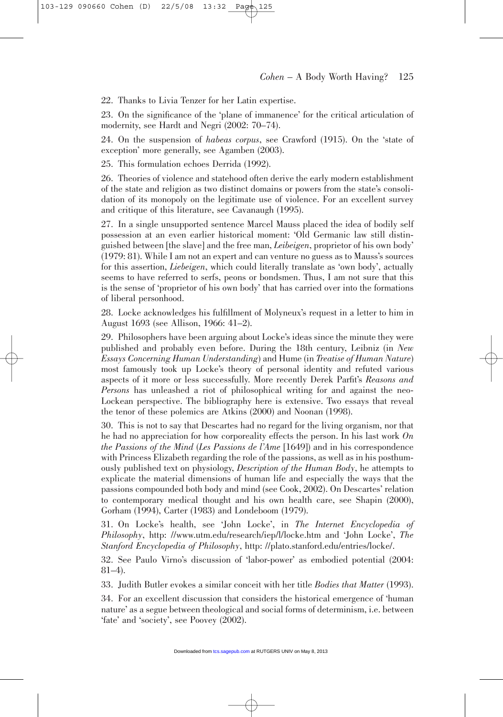22. Thanks to Livia Tenzer for her Latin expertise.

23. On the significance of the 'plane of immanence' for the critical articulation of modernity, see Hardt and Negri (2002: 70–74).

24. On the suspension of *habeas corpus*, see Crawford (1915). On the 'state of exception' more generally, see Agamben (2003).

25. This formulation echoes Derrida (1992).

26. Theories of violence and statehood often derive the early modern establishment of the state and religion as two distinct domains or powers from the state's consolidation of its monopoly on the legitimate use of violence. For an excellent survey and critique of this literature, see Cavanaugh (1995).

27. In a single unsupported sentence Marcel Mauss placed the idea of bodily self possession at an even earlier historical moment: 'Old Germanic law still distinguished between [the slave] and the free man, *Leibeigen*, proprietor of his own body' (1979: 81). While I am not an expert and can venture no guess as to Mauss's sources for this assertion, *Liebeigen*, which could literally translate as 'own body', actually seems to have referred to serfs, peons or bondsmen. Thus, I am not sure that this is the sense of 'proprietor of his own body' that has carried over into the formations of liberal personhood.

28. Locke acknowledges his fulfillment of Molyneux's request in a letter to him in August 1693 (see Allison, 1966: 41–2).

29. Philosophers have been arguing about Locke's ideas since the minute they were published and probably even before. During the 18th century, Leibniz (in *New Essays Concerning Human Understanding*) and Hume (in *Treatise of Human Nature*) most famously took up Locke's theory of personal identity and refuted various aspects of it more or less successfully. More recently Derek Parfit's *Reasons and Persons* has unleashed a riot of philosophical writing for and against the neo-Lockean perspective. The bibliography here is extensive. Two essays that reveal the tenor of these polemics are Atkins (2000) and Noonan (1998).

30. This is not to say that Descartes had no regard for the living organism, nor that he had no appreciation for how corporeality effects the person. In his last work *On the Passions of the Mind* (*Les Passions de l'Ame* [1649]) and in his correspondence with Princess Elizabeth regarding the role of the passions, as well as in his posthumously published text on physiology, *Description of the Human Body*, he attempts to explicate the material dimensions of human life and especially the ways that the passions compounded both body and mind (see Cook, 2002). On Descartes' relation to contemporary medical thought and his own health care, see Shapin (2000), Gorham (1994), Carter (1983) and Londeboom (1979).

31. On Locke's health, see 'John Locke', in *The Internet Encyclopedia of Philosophy*, http: //www.utm.edu/research/iep/l/locke.htm and 'John Locke', *The Stanford Encyclopedia of Philosophy*, http: //plato.stanford.edu/entries/locke/.

32. See Paulo Virno's discussion of 'labor-power' as embodied potential (2004: 81–4).

33. Judith Butler evokes a similar conceit with her title *Bodies that Matter* (1993).

34. For an excellent discussion that considers the historical emergence of 'human nature' as a segue between theological and social forms of determinism, i.e. between 'fate' and 'society', see Poovey (2002).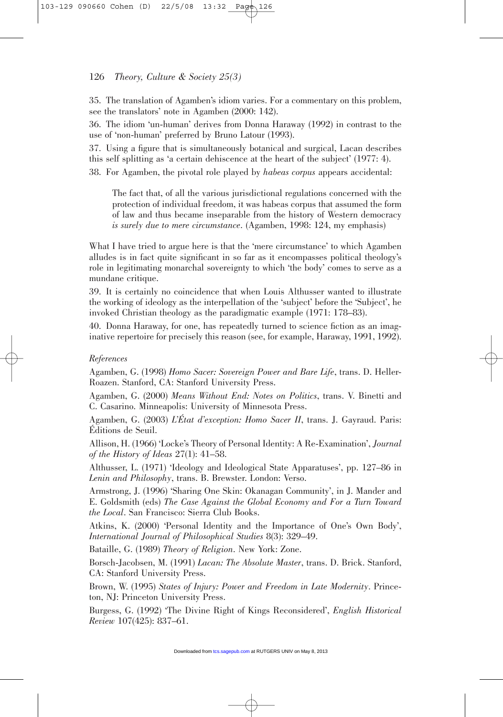35. The translation of Agamben's idiom varies. For a commentary on this problem, see the translators' note in Agamben (2000: 142).

36. The idiom 'un-human' derives from Donna Haraway (1992) in contrast to the use of 'non-human' preferred by Bruno Latour (1993).

37. Using a figure that is simultaneously botanical and surgical, Lacan describes this self splitting as 'a certain dehiscence at the heart of the subject' (1977: 4).

38. For Agamben, the pivotal role played by *habeas corpus* appears accidental:

The fact that, of all the various jurisdictional regulations concerned with the protection of individual freedom, it was habeas corpus that assumed the form of law and thus became inseparable from the history of Western democracy *is surely due to mere circumstance*. (Agamben, 1998: 124, my emphasis)

What I have tried to argue here is that the 'mere circumstance' to which Agamben alludes is in fact quite significant in so far as it encompasses political theology's role in legitimating monarchal sovereignty to which 'the body' comes to serve as a mundane critique.

39. It is certainly no coincidence that when Louis Althusser wanted to illustrate the working of ideology as the interpellation of the 'subject' before the 'Subject', he invoked Christian theology as the paradigmatic example (1971: 178–83).

40. Donna Haraway, for one, has repeatedly turned to science fiction as an imaginative repertoire for precisely this reason (see, for example, Haraway, 1991, 1992).

#### *References*

Agamben, G. (1998) *Homo Sacer: Sovereign Power and Bare Life*, trans. D. Heller-Roazen. Stanford, CA: Stanford University Press.

Agamben, G. (2000) *Means Without End: Notes on Politics*, trans. V. Binetti and C. Casarino. Minneapolis: University of Minnesota Press.

Agamben, G. (2003) *L'État d'exception: Homo Sacer II*, trans. J. Gayraud. Paris: Éditions de Seuil.

Allison, H. (1966) 'Locke's Theory of Personal Identity: A Re-Examination', *Journal of the History of Ideas* 27(1): 41–58.

Althusser, L. (1971) 'Ideology and Ideological State Apparatuses', pp. 127–86 in *Lenin and Philosophy*, trans. B. Brewster. London: Verso.

Armstrong, J. (1996) 'Sharing One Skin: Okanagan Community', in J. Mander and E. Goldsmith (eds) *The Case Against the Global Economy and For a Turn Toward the Local*. San Francisco: Sierra Club Books.

Atkins, K. (2000) 'Personal Identity and the Importance of One's Own Body', *International Journal of Philosophical Studies* 8(3): 329–49.

Bataille, G. (1989) *Theory of Religion*. New York: Zone.

Borsch-Jacobsen, M. (1991) *Lacan: The Absolute Master*, trans. D. Brick. Stanford, CA: Stanford University Press.

Brown, W. (1995) *States of Injury: Power and Freedom in Late Modernity*. Princeton, NJ: Princeton University Press.

Burgess, G. (1992) 'The Divine Right of Kings Reconsidered', *English Historical Review* 107(425): 837–61.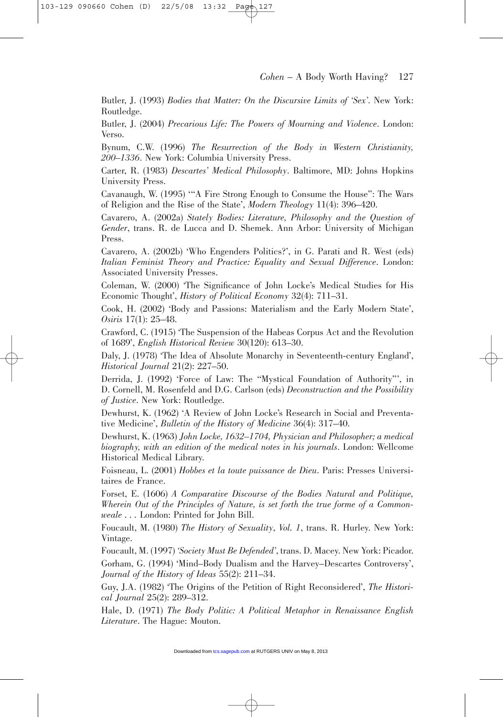Butler, J. (1993) *Bodies that Matter: On the Discursive Limits of 'Sex'*. New York: Routledge.

Butler, J. (2004) *Precarious Life: The Powers of Mourning and Violence*. London: Verso.

Bynum, C.W. (1996) *The Resurrection of the Body in Western Christianity, 200–1336*. New York: Columbia University Press.

Carter, R. (1983) *Descartes' Medical Philosophy*. Baltimore, MD: Johns Hopkins University Press.

Cavanaugh, W. (1995) '"A Fire Strong Enough to Consume the House": The Wars of Religion and the Rise of the State', *Modern Theology* 11(4): 396–420.

Cavarero, A. (2002a) *Stately Bodies: Literature, Philosophy and the Question of Gender*, trans. R. de Lucca and D. Shemek. Ann Arbor: University of Michigan Press.

Cavarero, A. (2002b) 'Who Engenders Politics?', in G. Parati and R. West (eds) *Italian Feminist Theory and Practice: Equality and Sexual Difference*. London: Associated University Presses.

Coleman, W. (2000) 'The Significance of John Locke's Medical Studies for His Economic Thought', *History of Political Economy* 32(4): 711–31.

Cook, H. (2002) 'Body and Passions: Materialism and the Early Modern State', *Osiris* 17(1): 25–48.

Crawford, C. (1915) 'The Suspension of the Habeas Corpus Act and the Revolution of 1689', *English Historical Review* 30(120): 613–30.

Daly, J. (1978) 'The Idea of Absolute Monarchy in Seventeenth-century England', *Historical Journal* 21(2): 227–50.

Derrida, J. (1992) 'Force of Law: The "Mystical Foundation of Authority"', in D. Cornell, M. Rosenfeld and D.G. Carlson (eds) *Deconstruction and the Possibility of Justice*. New York: Routledge.

Dewhurst, K. (1962) 'A Review of John Locke's Research in Social and Preventative Medicine', *Bulletin of the History of Medicine* 36(4): 317–40.

Dewhurst, K. (1963) *John Locke, 1632–1704, Physician and Philosopher; a medical biography, with an edition of the medical notes in his journals*. London: Wellcome Historical Medical Library.

Foisneau, L. (2001) *Hobbes et la toute puissance de Dieu*. Paris: Presses Universitaires de France.

Forset, E. (1606) *A Comparative Discourse of the Bodies Natural and Politique, Wherein Out of the Principles of Nature, is set forth the true forme of a Commonweale . . .* London: Printed for John Bill.

Foucault, M. (1980) *The History of Sexuality*, *Vol. 1*, trans. R. Hurley. New York: Vintage.

Foucault, M. (1997) *'Society Must Be Defended'*, trans. D. Macey. New York: Picador.

Gorham, G. (1994) 'Mind–Body Dualism and the Harvey–Descartes Controversy', *Journal of the History of Ideas* 55(2): 211–34.

Guy, J.A. (1982) 'The Origins of the Petition of Right Reconsidered', *The Historical Journal* 25(2): 289–312.

Hale, D. (1971) *The Body Politic: A Political Metaphor in Renaissance English Literature*. The Hague: Mouton.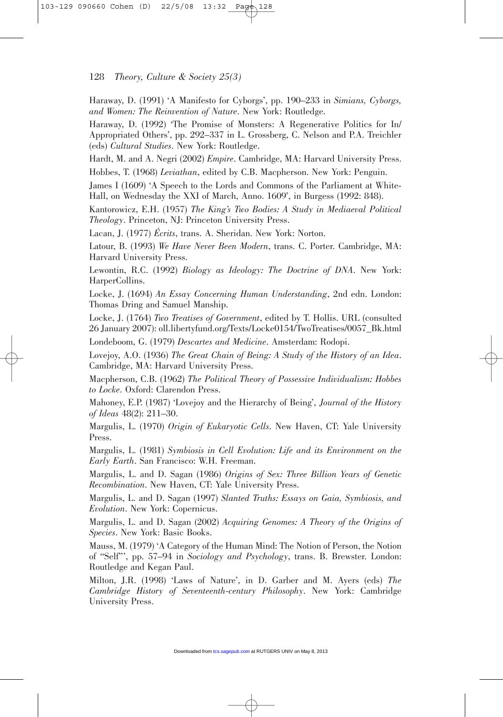Haraway, D. (1991) 'A Manifesto for Cyborgs', pp. 190–233 in *Simians, Cyborgs, and Women: The Reinvention of Nature*. New York: Routledge.

Haraway, D. (1992) 'The Promise of Monsters: A Regenerative Politics for In/ Appropriated Others', pp. 292–337 in L. Grossberg, C. Nelson and P.A. Treichler (eds) *Cultural Studies*. New York: Routledge.

Hardt, M. and A. Negri (2002) *Empire*. Cambridge, MA: Harvard University Press.

Hobbes, T. (1968) *Leviathan*, edited by C.B. Macpherson. New York: Penguin.

James I (1609) 'A Speech to the Lords and Commons of the Parliament at White-Hall, on Wednesday the XXI of March, Anno. 1609', in Burgess (1992: 848).

Kantorowicz, E.H. (1957) *The King's Two Bodies: A Study in Mediaeval Political Theology*. Princeton, NJ: Princeton University Press.

Lacan, J. (1977) *Écrits*, trans. A. Sheridan. New York: Norton.

Latour, B. (1993) *We Have Never Been Modern*, trans. C. Porter. Cambridge, MA: Harvard University Press.

Lewontin, R.C. (1992) *Biology as Ideology: The Doctrine of DNA*. New York: HarperCollins.

Locke, J. (1694) *An Essay Concerning Human Understanding*, 2nd edn. London: Thomas Dring and Samuel Manship.

Locke, J. (1764) *Two Treatises of Government*, edited by T. Hollis. URL (consulted 26 January 2007): oll.libertyfund.org/Texts/Locke0154/TwoTreatises/0057\_Bk.html Londeboom, G. (1979) *Descartes and Medicine*. Amsterdam: Rodopi.

Lovejoy, A.O. (1936) *The Great Chain of Being: A Study of the History of an Idea*. Cambridge, MA: Harvard University Press.

Macpherson, C.B. (1962) *The Political Theory of Possessive Individualism: Hobbes to Locke*. Oxford: Clarendon Press.

Mahoney, E.P. (1987) 'Lovejoy and the Hierarchy of Being', *Journal of the History of Ideas* 48(2): 211–30.

Margulis, L. (1970) *Origin of Eukaryotic Cells*. New Haven, CT: Yale University Press.

Margulis, L. (1981) *Symbiosis in Cell Evolution: Life and its Environment on the Early Earth*. San Francisco: W.H. Freeman.

Margulis, L. and D. Sagan (1986) *Origins of Sex: Three Billion Years of Genetic Recombination*. New Haven, CT: Yale University Press.

Margulis, L. and D. Sagan (1997) *Slanted Truths: Essays on Gaia, Symbiosis, and Evolution*. New York: Copernicus.

Margulis, L. and D. Sagan (2002) *Acquiring Genomes: A Theory of the Origins of Species*. New York: Basic Books.

Mauss, M. (1979) 'A Category of the Human Mind: The Notion of Person, the Notion of "Self"', pp. 57–94 in *Sociology and Psychology*, trans. B. Brewster. London: Routledge and Kegan Paul.

Milton, J.R. (1998) 'Laws of Nature', in D. Garber and M. Ayers (eds) *The Cambridge History of Seventeenth-century Philosophy*. New York: Cambridge University Press.